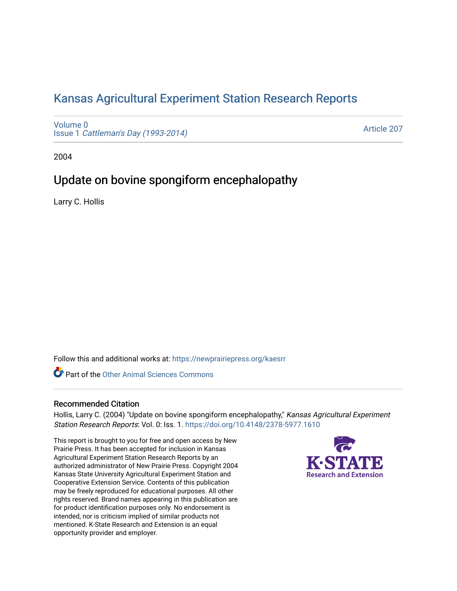## [Kansas Agricultural Experiment Station Research Reports](https://newprairiepress.org/kaesrr)

[Volume 0](https://newprairiepress.org/kaesrr/vol0) Issue 1 [Cattleman's Day \(1993-2014\)](https://newprairiepress.org/kaesrr/vol0/iss1) 

[Article 207](https://newprairiepress.org/kaesrr/vol0/iss1/207) 

2004

## Update on bovine spongiform encephalopathy

Larry C. Hollis

Follow this and additional works at: [https://newprairiepress.org/kaesrr](https://newprairiepress.org/kaesrr?utm_source=newprairiepress.org%2Fkaesrr%2Fvol0%2Fiss1%2F207&utm_medium=PDF&utm_campaign=PDFCoverPages) 

Part of the [Other Animal Sciences Commons](http://network.bepress.com/hgg/discipline/82?utm_source=newprairiepress.org%2Fkaesrr%2Fvol0%2Fiss1%2F207&utm_medium=PDF&utm_campaign=PDFCoverPages)

#### Recommended Citation

Hollis, Larry C. (2004) "Update on bovine spongiform encephalopathy," Kansas Agricultural Experiment Station Research Reports: Vol. 0: Iss. 1.<https://doi.org/10.4148/2378-5977.1610>

This report is brought to you for free and open access by New Prairie Press. It has been accepted for inclusion in Kansas Agricultural Experiment Station Research Reports by an authorized administrator of New Prairie Press. Copyright 2004 Kansas State University Agricultural Experiment Station and Cooperative Extension Service. Contents of this publication may be freely reproduced for educational purposes. All other rights reserved. Brand names appearing in this publication are for product identification purposes only. No endorsement is intended, nor is criticism implied of similar products not mentioned. K-State Research and Extension is an equal opportunity provider and employer.

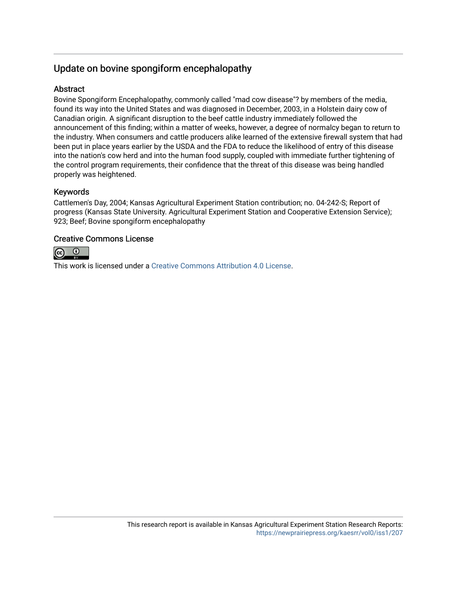## Update on bovine spongiform encephalopathy

### Abstract

Bovine Spongiform Encephalopathy, commonly called "mad cow disease"? by members of the media, found its way into the United States and was diagnosed in December, 2003, in a Holstein dairy cow of Canadian origin. A significant disruption to the beef cattle industry immediately followed the announcement of this finding; within a matter of weeks, however, a degree of normalcy began to return to the industry. When consumers and cattle producers alike learned of the extensive firewall system that had been put in place years earlier by the USDA and the FDA to reduce the likelihood of entry of this disease into the nation's cow herd and into the human food supply, coupled with immediate further tightening of the control program requirements, their confidence that the threat of this disease was being handled properly was heightened.

### Keywords

Cattlemen's Day, 2004; Kansas Agricultural Experiment Station contribution; no. 04-242-S; Report of progress (Kansas State University. Agricultural Experiment Station and Cooperative Extension Service); 923; Beef; Bovine spongiform encephalopathy

### Creative Commons License



This work is licensed under a [Creative Commons Attribution 4.0 License](https://creativecommons.org/licenses/by/4.0/).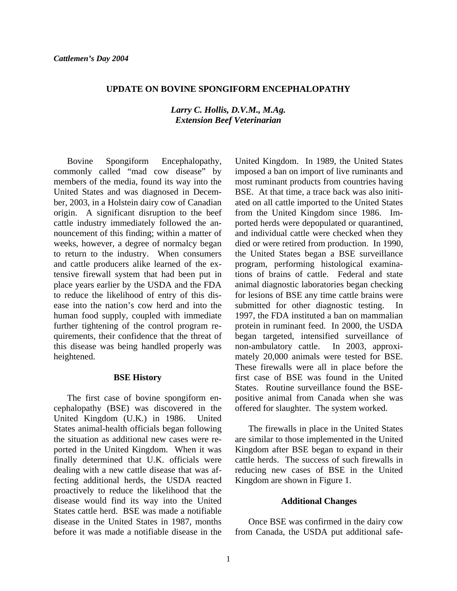#### **UPDATE ON BOVINE SPONGIFORM ENCEPHALOPATHY**

#### *Larry C. Hollis, D.V.M., M.Ag. Extension Beef Veterinarian*

 Bovine Spongiform Encephalopathy, commonly called "mad cow disease" by members of the media, found its way into the United States and was diagnosed in December, 2003, in a Holstein dairy cow of Canadian origin. A significant disruption to the beef cattle industry immediately followed the announcement of this finding; within a matter of weeks, however, a degree of normalcy began to return to the industry. When consumers and cattle producers alike learned of the extensive firewall system that had been put in place years earlier by the USDA and the FDA to reduce the likelihood of entry of this disease into the nation's cow herd and into the human food supply, coupled with immediate further tightening of the control program requirements, their confidence that the threat of this disease was being handled properly was heightened.

#### **BSE History**

 The first case of bovine spongiform encephalopathy (BSE) was discovered in the United Kingdom (U.K.) in 1986. United States animal-health officials began following the situation as additional new cases were reported in the United Kingdom. When it was finally determined that U.K. officials were dealing with a new cattle disease that was affecting additional herds, the USDA reacted proactively to reduce the likelihood that the disease would find its way into the United States cattle herd. BSE was made a notifiable disease in the United States in 1987, months before it was made a notifiable disease in the

United Kingdom. In 1989, the United States imposed a ban on import of live ruminants and most ruminant products from countries having BSE. At that time, a trace back was also initiated on all cattle imported to the United States from the United Kingdom since 1986. Imported herds were depopulated or quarantined, and individual cattle were checked when they died or were retired from production. In 1990, the United States began a BSE surveillance program, performing histological examinations of brains of cattle. Federal and state animal diagnostic laboratories began checking for lesions of BSE any time cattle brains were submitted for other diagnostic testing. In 1997, the FDA instituted a ban on mammalian protein in ruminant feed. In 2000, the USDA began targeted, intensified surveillance of non-ambulatory cattle. In 2003, approximately 20,000 animals were tested for BSE. These firewalls were all in place before the first case of BSE was found in the United States. Routine surveillance found the BSEpositive animal from Canada when she was offered for slaughter. The system worked.

 The firewalls in place in the United States are similar to those implemented in the United Kingdom after BSE began to expand in their cattle herds. The success of such firewalls in reducing new cases of BSE in the United Kingdom are shown in Figure 1.

#### **Additional Changes**

 Once BSE was confirmed in the dairy cow from Canada, the USDA put additional safe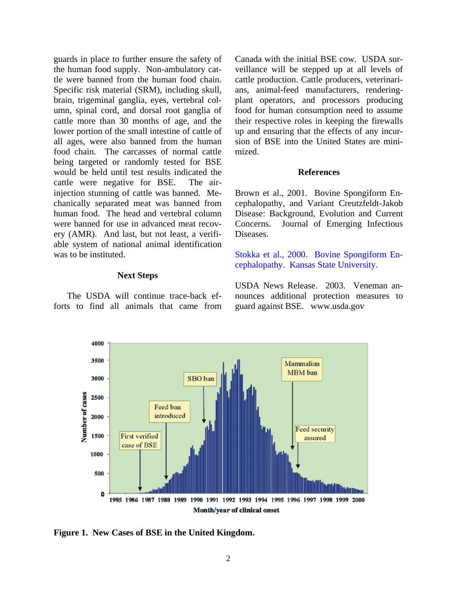guards in place to further ensure the safety of the human food supply. Non-ambulatory cattle were banned from the human food chain. Specific risk material (SRM), including skull, brain, trigeminal ganglia, eyes, vertebral column, spinal cord, and dorsal root ganglia of cattle more than 30 months of age, and the lower portion of the small intestine of cattle of all ages, were also banned from the human food chain. The carcasses of normal cattle being targeted or randomly tested for BSE would be held until test results indicated the cattle were negative for BSE. The airinjection stunning of cattle was banned. Mechanically separated meat was banned from human food. The head and vertebral column were banned for use in advanced meat recovery (AMR). And last, but not least, a verifiable system of national animal identification was to be instituted.

#### **Next Steps**

 The USDA will continue trace-back efforts to find all animals that came from Canada with the initial BSE cow. USDA surveillance will be stepped up at all levels of cattle production. Cattle producers, veterinarians, animal-feed manufacturers, renderingplant operators, and processors producing food for human consumption need to assume their respective roles in keeping the firewalls up and ensuring that the effects of any incursion of BSE into the United States are minimized.

#### **References**

Brown et al., 2001. Bovine Spongiform Encephalopathy, and Variant Creutzfeldt-Jakob Disease: Background, Evolution and Current Concerns. Journal of Emerging Infectious Diseases.

[Stokka et al., 2000. Bovine Spongiform En](#page-4-0)cephalopathy. Kansas State University.

USDA News Release. 2003. Veneman announces additional protection measures to guard against BSE. www.usda.gov



**Figure 1. New Cases of BSE in the United Kingdom.**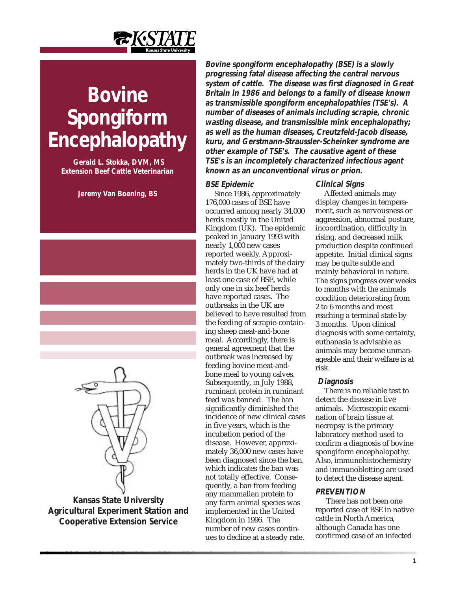

# <span id="page-4-0"></span>**Bovine Spongiform Encephalopathy**

 **Gerald L. Stokka, DVM, MS Extension Beef Cattle Veterinarian**

**Jeremy Van Boening, BS**



**Kansas State University Agricultural Experiment Station and Cooperative Extension Service**

**Bovine spongiform encephalopathy (BSE) is a slowly progressing fatal disease affecting the central nervous system of cattle. The disease was first diagnosed in Great Britain in 1986 and belongs to a family of disease known as transmissible spongiform encephalopathies (TSE's). A number of diseases of animals including scrapie, chronic wasting disease, and transmissible mink encephalopathy; as well as the human diseases, Creutzfeld-Jacob disease, kuru, and Gerstmann-Straussler-Scheinker syndrome are other example of TSE's. The causative agent of these TSE's is an incompletely characterized infectious agent known as an unconventional virus or prion.**

#### **BSE Epidemic**

Since 1986, approximately 176,000 cases of BSE have occurred among nearly 34,000 herds mostly in the United Kingdom (UK). The epidemic peaked in January 1993 with nearly 1,000 new cases reported weekly. Approximately two-thirds of the dairy herds in the UK have had at least one case of BSE, while only one in six beef herds have reported cases. The outbreaks in the UK are believed to have resulted from the feeding of scrapie-containing sheep meat-and-bone meal. Accordingly, there is general agreement that the outbreak was increased by feeding bovine meat-andbone meal to young calves. Subsequently, in July 1988, ruminant protein in ruminant feed was banned. The ban significantly diminished the incidence of new clinical cases in five years, which is the incubation period of the disease. However, approximately 36,000 new cases have been diagnosed since the ban, which indicates the ban was not totally effective. Consequently, a ban from feeding any mammalian protein to any farm animal species was implemented in the United Kingdom in 1996. The number of new cases continues to decline at a steady rate.

#### **Clinical Signs**

Affected animals may display changes in temperament, such as nervousness or aggression, abnormal posture, incoordination, difficulty in rising, and decreased milk production despite continued appetite. Initial clinical signs may be quite subtle and mainly behavioral in nature. The signs progress over weeks to months with the animals condition deteriorating from 2 to 6 months and most reaching a terminal state by 3 months. Upon clinical diagnosis with some certainty, euthanasia is advisable as animals may become unmanageable and their welfare is at risk.

#### **Diagnosis**

There is no reliable test to detect the disease in live animals. Microscopic examination of brain tissue at necropsy is the primary laboratory method used to confirm a diagnosis of bovine spongiform encephalopathy. Also, immunohistochemistry and immunoblotting are used to detect the disease agent.

#### **PREVENTION**

 There has not been one reported case of BSE in native cattle in North America, although Canada has one confirmed case of an infected